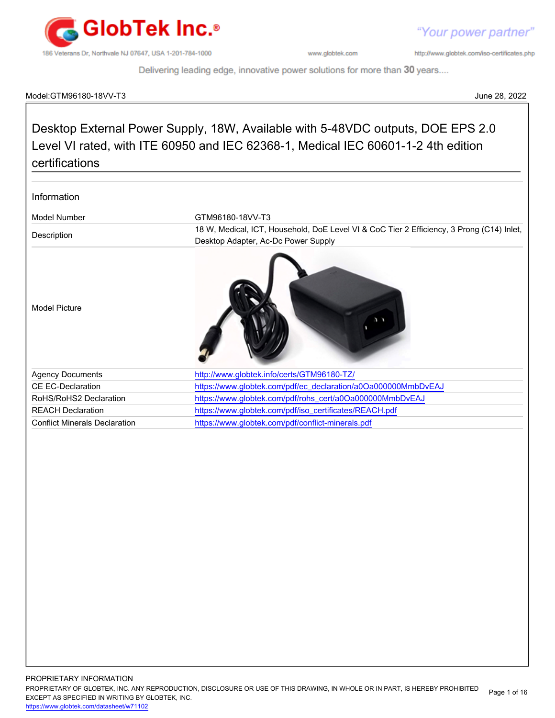

"Your power partner"

http://www.globtek.com/iso-certificates.php

Delivering leading edge, innovative power solutions for more than 30 years....

# Model:GTM96180-18VV-T3 June 28, 2022

# Desktop External Power Supply, 18W, Available with 5-48VDC outputs, DOE EPS 2.0 Level VI rated, with ITE 60950 and IEC 62368-1, Medical IEC 60601-1-2 4th edition certifications

| Information                          |                                                                                                                                  |
|--------------------------------------|----------------------------------------------------------------------------------------------------------------------------------|
| Model Number                         | GTM96180-18VV-T3                                                                                                                 |
| Description                          | 18 W, Medical, ICT, Household, DoE Level VI & CoC Tier 2 Efficiency, 3 Prong (C14) Inlet,<br>Desktop Adapter, Ac-Dc Power Supply |
| <b>Model Picture</b>                 |                                                                                                                                  |
| <b>Agency Documents</b>              | http://www.globtek.info/certs/GTM96180-TZ/                                                                                       |
| <b>CE EC-Declaration</b>             | https://www.globtek.com/pdf/ec_declaration/a0Oa000000MmbDvEAJ                                                                    |
| RoHS/RoHS2 Declaration               | https://www.globtek.com/pdf/rohs_cert/a0Oa000000MmbDvEAJ                                                                         |
| <b>REACH Declaration</b>             | https://www.globtek.com/pdf/iso_certificates/REACH.pdf                                                                           |
| <b>Conflict Minerals Declaration</b> | https://www.globtek.com/pdf/conflict-minerals.pdf                                                                                |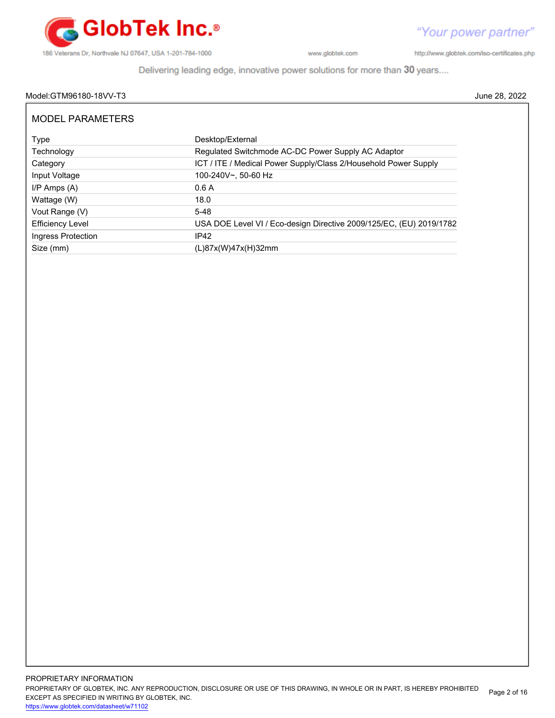

http://www.globtek.com/iso-certificates.php

Delivering leading edge, innovative power solutions for more than 30 years....

# Model:GTM96180-18VV-T3 June 28, 2022

| Type                    | Desktop/External                                                    |
|-------------------------|---------------------------------------------------------------------|
| Technology              | Regulated Switchmode AC-DC Power Supply AC Adaptor                  |
| Category                | ICT / ITE / Medical Power Supply/Class 2/Household Power Supply     |
| Input Voltage           | 100-240V~, 50-60 Hz                                                 |
| $I/P$ Amps $(A)$        | 0.6A                                                                |
| Wattage (W)             | 18.0                                                                |
| Vout Range (V)          | $5 - 48$                                                            |
| <b>Efficiency Level</b> | USA DOE Level VI / Eco-design Directive 2009/125/EC, (EU) 2019/1782 |
| Ingress Protection      | IP42                                                                |
| Size (mm)               | (L)87x(W)47x(H)32mm                                                 |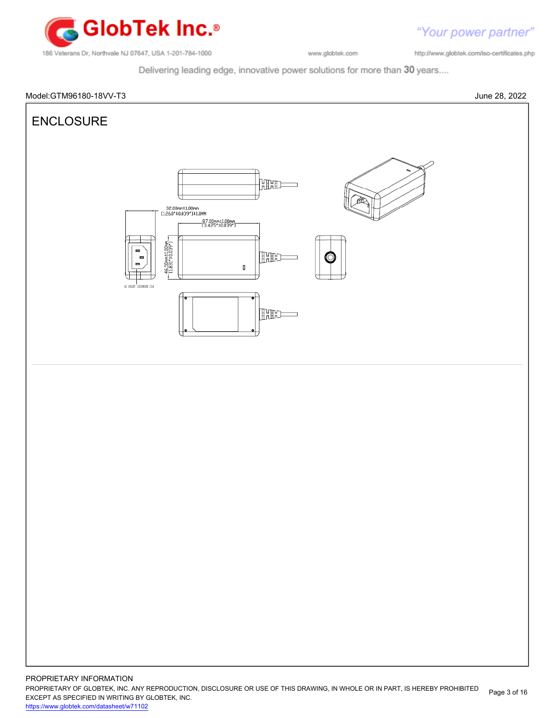

"Your power partner"

http://www.globtek.com/iso-certificates.php

Delivering leading edge, innovative power solutions for more than 30 years....





PROPRIETARY OF GLOBTEK, INC. ANY REPRODUCTION, DISCLOSURE OR USE OF THIS DRAWING, IN WHOLE OR IN PART, IS HEREBY PROHIBITED EXCEPT AS SPECIFIED IN WRITING BY GLOBTEK, INC. Page 3 of 16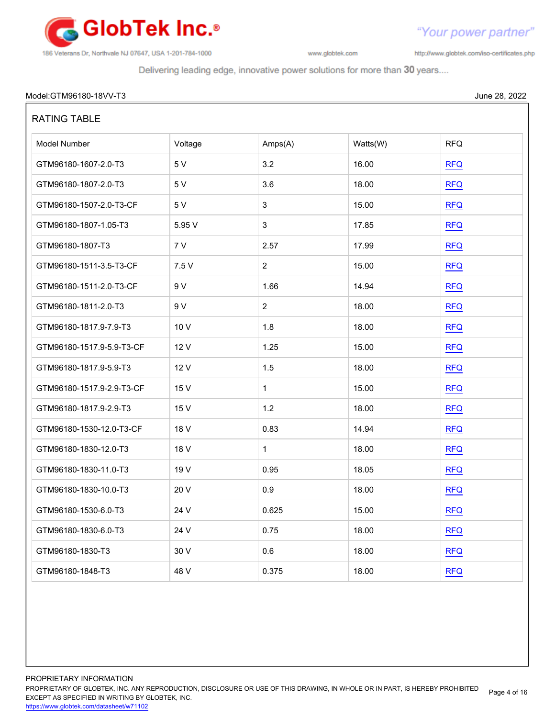

"Your power partner"

http://www.globtek.com/iso-certificates.php

Delivering leading edge, innovative power solutions for more than 30 years....

# Model:GTM96180-18VV-T3 June 28, 2022

| <b>RATING TABLE</b>       |         |                |          |            |
|---------------------------|---------|----------------|----------|------------|
| Model Number              | Voltage | Amps(A)        | Watts(W) | <b>RFQ</b> |
| GTM96180-1607-2.0-T3      | 5 V     | 3.2            | 16.00    | <b>RFQ</b> |
| GTM96180-1807-2.0-T3      | 5 V     | 3.6            | 18.00    | <b>RFQ</b> |
| GTM96180-1507-2.0-T3-CF   | 5 V     | 3              | 15.00    | <b>RFQ</b> |
| GTM96180-1807-1.05-T3     | 5.95 V  | $\mathbf{3}$   | 17.85    | <b>RFQ</b> |
| GTM96180-1807-T3          | 7 V     | 2.57           | 17.99    | <b>RFQ</b> |
| GTM96180-1511-3.5-T3-CF   | 7.5V    | $\sqrt{2}$     | 15.00    | <b>RFQ</b> |
| GTM96180-1511-2.0-T3-CF   | 9 V     | 1.66           | 14.94    | <b>RFQ</b> |
| GTM96180-1811-2.0-T3      | 9 V     | $\overline{c}$ | 18.00    | <b>RFQ</b> |
| GTM96180-1817.9-7.9-T3    | 10 V    | 1.8            | 18.00    | <b>RFQ</b> |
| GTM96180-1517.9-5.9-T3-CF | 12 V    | 1.25           | 15.00    | <b>RFQ</b> |
| GTM96180-1817.9-5.9-T3    | 12 V    | 1.5            | 18.00    | <b>RFQ</b> |
| GTM96180-1517.9-2.9-T3-CF | 15 V    | $\mathbf{1}$   | 15.00    | <b>RFQ</b> |
| GTM96180-1817.9-2.9-T3    | 15 V    | 1.2            | 18.00    | <b>RFQ</b> |
| GTM96180-1530-12.0-T3-CF  | 18 V    | 0.83           | 14.94    | <b>RFQ</b> |
| GTM96180-1830-12.0-T3     | 18 V    | $\mathbf{1}$   | 18.00    | <b>RFQ</b> |
| GTM96180-1830-11.0-T3     | 19 V    | 0.95           | 18.05    | <b>RFQ</b> |
| GTM96180-1830-10.0-T3     | 20 V    | 0.9            | 18.00    | <b>RFQ</b> |
| GTM96180-1530-6.0-T3      | 24 V    | 0.625          | 15.00    | <b>RFQ</b> |
| GTM96180-1830-6.0-T3      | 24 V    | 0.75           | 18.00    | RFA        |
| GTM96180-1830-T3          | 30 V    | 0.6            | 18.00    | <b>RFQ</b> |
| GTM96180-1848-T3          | 48 V    | 0.375          | 18.00    | <b>RFQ</b> |

PROPRIETARY INFORMATION PROPRIETARY OF GLOBTEK, INC. ANY REPRODUCTION, DISCLOSURE OR USE OF THIS DRAWING, IN WHOLE OR IN PART, IS HEREBY PROHIBITED EXCEPT AS SPECIFIED IN WRITING BY GLOBTEK, INC. <https://www.globtek.com/datasheet/w71102> Page 4 of 16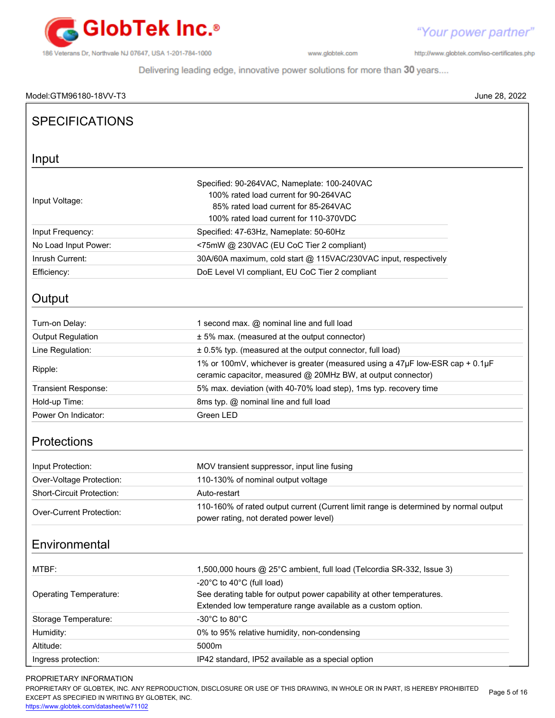

http://www.globtek.com/iso-certificates.php

Delivering leading edge, innovative power solutions for more than 30 years....

| Model:GTM96180-18VV-T3           | June 28, 2022                                                                                                                                                          |
|----------------------------------|------------------------------------------------------------------------------------------------------------------------------------------------------------------------|
| <b>SPECIFICATIONS</b>            |                                                                                                                                                                        |
| Input                            |                                                                                                                                                                        |
| Input Voltage:                   | Specified: 90-264VAC, Nameplate: 100-240VAC<br>100% rated load current for 90-264VAC<br>85% rated load current for 85-264VAC<br>100% rated load current for 110-370VDC |
| Input Frequency:                 | Specified: 47-63Hz, Nameplate: 50-60Hz                                                                                                                                 |
| No Load Input Power:             | <75mW @ 230VAC (EU CoC Tier 2 compliant)                                                                                                                               |
| Inrush Current:                  | 30A/60A maximum, cold start @ 115VAC/230VAC input, respectively                                                                                                        |
| Efficiency:                      | DoE Level VI compliant, EU CoC Tier 2 compliant                                                                                                                        |
| Output                           |                                                                                                                                                                        |
| Turn-on Delay:                   | 1 second max. @ nominal line and full load                                                                                                                             |
| <b>Output Regulation</b>         | ± 5% max. (measured at the output connector)                                                                                                                           |
| Line Regulation:                 | ± 0.5% typ. (measured at the output connector, full load)                                                                                                              |
| Ripple:                          | 1% or 100mV, whichever is greater (measured using a 47µF low-ESR cap + 0.1µF<br>ceramic capacitor, measured @ 20MHz BW, at output connector)                           |
| Transient Response:              | 5% max. deviation (with 40-70% load step), 1ms typ. recovery time                                                                                                      |
| Hold-up Time:                    | 8ms typ. @ nominal line and full load                                                                                                                                  |
| Power On Indicator:              | Green LED                                                                                                                                                              |
| <b>Protections</b>               |                                                                                                                                                                        |
| Input Protection:                | MOV transient suppressor, input line fusing                                                                                                                            |
| Over-Voltage Protection:         | 110-130% of nominal output voltage                                                                                                                                     |
| <b>Short-Circuit Protection:</b> | Auto-restart                                                                                                                                                           |
| Over-Current Protection:         | 110-160% of rated output current (Current limit range is determined by normal output<br>power rating, not derated power level)                                         |
| Environmental                    |                                                                                                                                                                        |
| MTBF:                            | 1,500,000 hours @ 25°C ambient, full load (Telcordia SR-332, Issue 3)                                                                                                  |
| <b>Operating Temperature:</b>    | -20°C to 40°C (full load)<br>See derating table for output power capability at other temperatures.<br>Extended low temperature range available as a custom option.     |
| Storage Temperature:             | -30°C to 80°C                                                                                                                                                          |
| Humidity:                        | 0% to 95% relative humidity, non-condensing                                                                                                                            |
| Altitude:                        | 5000m                                                                                                                                                                  |
| Ingress protection:              | IP42 standard, IP52 available as a special option                                                                                                                      |

## PROPRIETARY INFORMATION

PROPRIETARY OF GLOBTEK, INC. ANY REPRODUCTION, DISCLOSURE OR USE OF THIS DRAWING, IN WHOLE OR IN PART, IS HEREBY PROHIBITED EXCEPT AS SPECIFIED IN WRITING BY GLOBTEK, INC. Page 5 of 16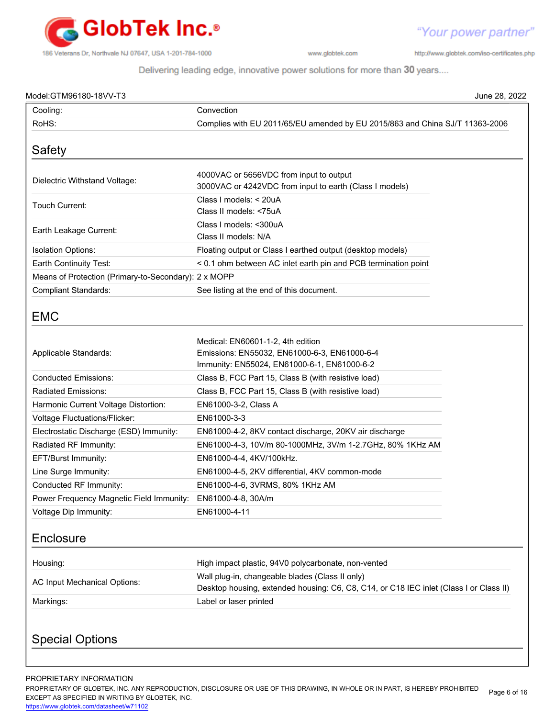

http://www.globtek.com/iso-certificates.php

"Your power partner"

Delivering leading edge, innovative power solutions for more than 30 years....

| Model:GTM96180-18VV-T3                                      |                                                                                                                                           | June 28, 2022 |
|-------------------------------------------------------------|-------------------------------------------------------------------------------------------------------------------------------------------|---------------|
| Cooling:                                                    | Convection                                                                                                                                |               |
| RoHS:                                                       | Complies with EU 2011/65/EU amended by EU 2015/863 and China SJ/T 11363-2006                                                              |               |
| Safety                                                      |                                                                                                                                           |               |
| Dielectric Withstand Voltage:                               | 4000VAC or 5656VDC from input to output<br>3000VAC or 4242VDC from input to earth (Class I models)                                        |               |
| Touch Current:                                              | Class I models: < 20uA<br>Class II models: <75uA                                                                                          |               |
| Earth Leakage Current:                                      | Class I models: < 300uA<br>Class II models: N/A                                                                                           |               |
| <b>Isolation Options:</b>                                   | Floating output or Class I earthed output (desktop models)                                                                                |               |
| Earth Continuity Test:                                      | < 0.1 ohm between AC inlet earth pin and PCB termination point                                                                            |               |
| Means of Protection (Primary-to-Secondary): 2 x MOPP        |                                                                                                                                           |               |
| <b>Compliant Standards:</b>                                 | See listing at the end of this document.                                                                                                  |               |
| <b>EMC</b>                                                  |                                                                                                                                           |               |
| Applicable Standards:                                       | Medical: EN60601-1-2, 4th edition<br>Emissions: EN55032, EN61000-6-3, EN61000-6-4<br>Immunity: EN55024, EN61000-6-1, EN61000-6-2          |               |
| <b>Conducted Emissions:</b>                                 | Class B, FCC Part 15, Class B (with resistive load)                                                                                       |               |
| Radiated Emissions:                                         | Class B, FCC Part 15, Class B (with resistive load)                                                                                       |               |
| Harmonic Current Voltage Distortion:                        | EN61000-3-2, Class A                                                                                                                      |               |
| Voltage Fluctuations/Flicker:                               | EN61000-3-3                                                                                                                               |               |
| Electrostatic Discharge (ESD) Immunity:                     | EN61000-4-2, 8KV contact discharge, 20KV air discharge                                                                                    |               |
| Radiated RF Immunity:                                       | EN61000-4-3, 10V/m 80-1000MHz, 3V/m 1-2.7GHz, 80% 1KHz AM                                                                                 |               |
| EFT/Burst Immunity:                                         | EN61000-4-4, 4KV/100kHz.                                                                                                                  |               |
| Line Surge Immunity:                                        | EN61000-4-5, 2KV differential, 4KV common-mode                                                                                            |               |
| Conducted RF Immunity:                                      | EN61000-4-6, 3VRMS, 80% 1KHz AM                                                                                                           |               |
| Power Frequency Magnetic Field Immunity: EN61000-4-8, 30A/m |                                                                                                                                           |               |
| Voltage Dip Immunity:                                       | EN61000-4-11                                                                                                                              |               |
| Enclosure                                                   |                                                                                                                                           |               |
|                                                             |                                                                                                                                           |               |
| Housing:                                                    | High impact plastic, 94V0 polycarbonate, non-vented                                                                                       |               |
| <b>AC Input Mechanical Options:</b>                         | Wall plug-in, changeable blades (Class II only)<br>Desktop housing, extended housing: C6, C8, C14, or C18 IEC inlet (Class I or Class II) |               |

PROPRIETARY INFORMATION

PROPRIETARY OF GLOBTEK, INC. ANY REPRODUCTION, DISCLOSURE OR USE OF THIS DRAWING, IN WHOLE OR IN PART, IS HEREBY PROHIBITED EXCEPT AS SPECIFIED IN WRITING BY GLOBTEK, INC. Page 6 of 16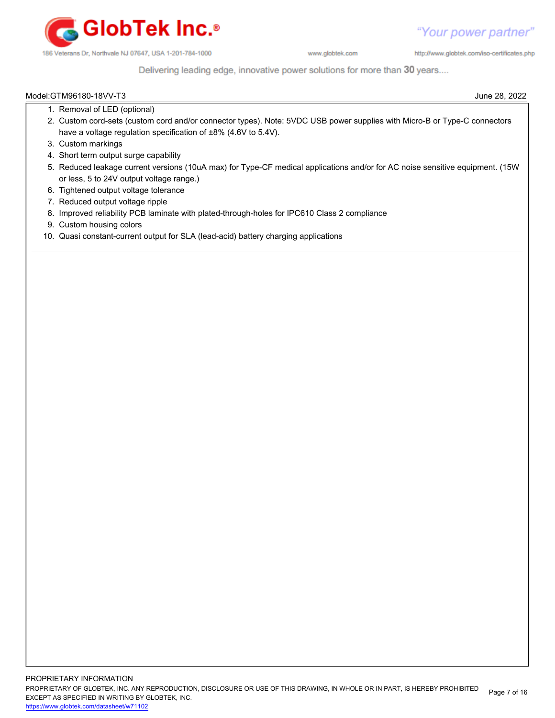

http://www.globtek.com/iso-certificates.php

# Delivering leading edge, innovative power solutions for more than 30 years....

# Model:GTM96180-18VV-T3 June 28, 2022 1. Removal of LED (optional) 2. Custom cord-sets (custom cord and/or connector types). Note: 5VDC USB power supplies with Micro-B or Type-C connectors 3. Custom markings 4. Short term output surge capability 5. Reduced leakage current versions (10uA max) for Type-CF medical applications and/or for AC noise sensitive equipment. (15W have a voltage regulation specification of ±8% (4.6V to 5.4V).

- or less, 5 to 24V output voltage range.)
- 6. Tightened output voltage tolerance
- 7. Reduced output voltage ripple
- 8. Improved reliability PCB laminate with plated-through-holes for IPC610 Class 2 compliance
- 9. Custom housing colors
- 10. Quasi constant-current output for SLA (lead-acid) battery charging applications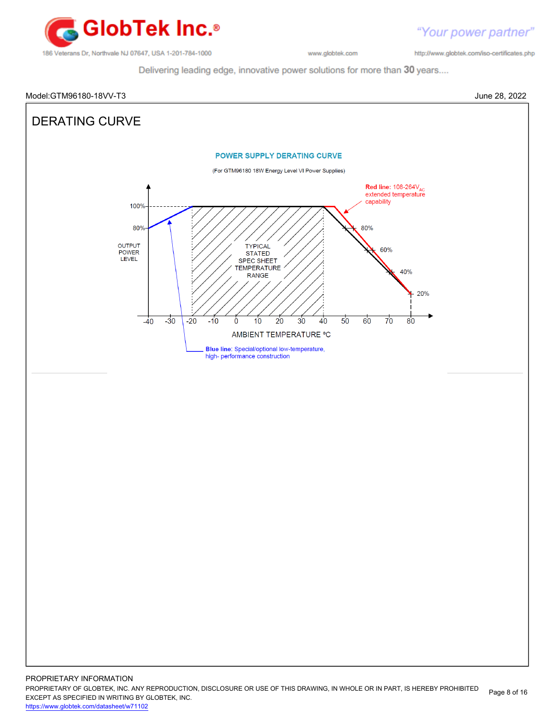

"Your power partner" http://www.globtek.com/iso-certificates.php

Delivering leading edge, innovative power solutions for more than 30 years....



PROPRIETARY OF GLOBTEK, INC. ANY REPRODUCTION, DISCLOSURE OR USE OF THIS DRAWING, IN WHOLE OR IN PART, IS HEREBY PROHIBITED EXCEPT AS SPECIFIED IN WRITING BY GLOBTEK, INC. Page 8 of 16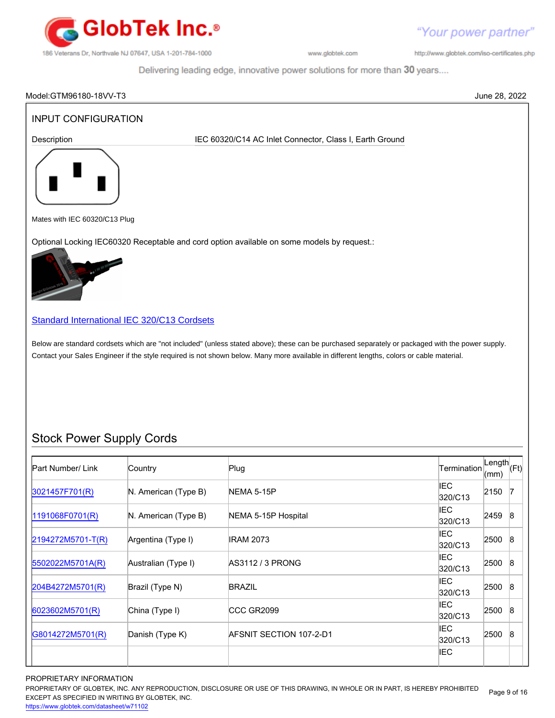

Your power partner"

http://www.globtek.com/iso-certificates.php

 $320/C13$   $2500$  8

IEC

Delivering leading edge, innovative power solutions for more than 30 years....

# Model:GTM96180-18VV-T3 June 28, 2022 INPUT CONFIGURATION Description **IEC 60320/C14 AC Inlet Connector, Class I, Earth Ground** Mates with IEC 60320/C13 Plug Optional Locking IEC60320 Receptable and cord option available on some models by request.: [Standard International IEC 320/C13 Cordsets](http://www.globtek.com/pdf/international-cordsets-with-iec320_c13-701-connector/) Below are standard cordsets which are "not included" (unless stated above); these can be purchased separately or packaged with the power supply. Contact your Sales Engineer if the style required is not shown below. Many more available in different lengths, colors or cable material. Stock Power Supply Cords Part Number/ Link Country Plug Plug Rength Country Plug Length Country Plug Length Length<br>(mm) (Ft)  $\begin{array}{ccc} 3021457F701(R) \end{array}$  $\begin{array}{ccc} 3021457F701(R) \end{array}$  $\begin{array}{ccc} 3021457F701(R) \end{array}$  N. American (Type B) NEMA 5-15P IEC  $320/C13$  2150 7 [1191068F0701\(R\)](http://www.globtek.com/pdf/international-cordsets-with-iec320_c13-701-connector/1191068F0701(R).pdf) N. American (Type B) NEMA 5-15P Hospital International IEC  $320/C13$  2459 8 [2194272M5701-T\(R\)](http://www.globtek.com/pdf/international-cordsets-with-iec320_c13-701-connector/2194272M5701-T(R).pdf) Argentina (Type I) IRAM 2073 IEC  $320/C13$   $2500$  8 [5502022M5701A\(R\)](http://www.globtek.com/pdf/international-cordsets-with-iec320_c13-701-connector/5502022M5701A(R)%20(1).pdf) Australian (Type I) AS3112 / 3 PRONG IEC  $320/C13$  2500 8 [204B4272M5701\(R\)](http://www.globtek.com/pdf/international-cordsets-with-iec320_c13-701-connector/204B4272M5701(R).pdf) Brazil (Type N) BRAZIL BRAZIL BRAZIL BRAZIL IEC<br>320/C13 2500 8 [6023602M5701\(R\)](http://www.globtek.com/pdf/international-cordsets-with-iec320_c13-701-connector/6023602M5701(R)%20(1).pdf) China (Type I) CCC GR2099 CCC GR2010 IEC  $\begin{array}{c} \n\text{IEC} \\
320/C13\n\end{array}$  2500 8

### PROPRIETARY INFORMATION

PROPRIETARY OF GLOBTEK, INC. ANY REPRODUCTION, DISCLOSURE OR USE OF THIS DRAWING, IN WHOLE OR IN PART, IS HEREBY PROHIBITED EXCEPT AS SPECIFIED IN WRITING BY GLOBTEK, INC. Page 9 of 16

[G8014272M5701\(R\)](http://www.globtek.com/pdf/international-cordsets-with-iec320_c13-701-connector/G8014272M5701(R).pdf) Danish (Type K) AFSNIT SECTION 107-2-D1 Assets that the second that the second that the second that the second that the second that the second that the second that the second that the second that the secon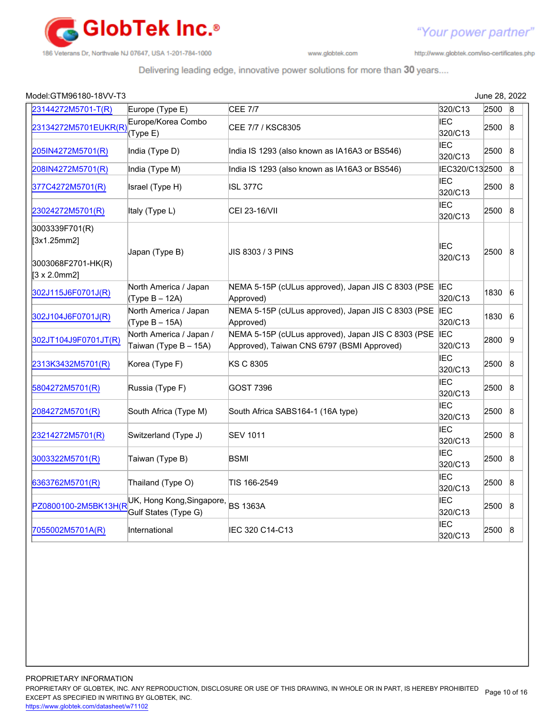

http://www.globtek.com/iso-certificates.php

"Your power partner"

# Delivering leading edge, innovative power solutions for more than 30 years....

| Model:GTM96180-18VV-T3                                                      |                                                            |                                                                                                  |                       | June 28, 2022 |                 |
|-----------------------------------------------------------------------------|------------------------------------------------------------|--------------------------------------------------------------------------------------------------|-----------------------|---------------|-----------------|
| 23144272M5701-T(R)                                                          | Europe (Type E)                                            | <b>CEE 7/7</b>                                                                                   | 320/C13               | 2500          | $\mathsf{B}$    |
| 23134272M5701EUKR(R)                                                        | Europe/Korea Combo<br>(Type E)                             | CEE 7/7 / KSC8305                                                                                | <b>IEC</b><br>320/C13 | 2500          | $\mathsf{8}$    |
| 205IN4272M5701(R)                                                           | India (Type D)                                             | India IS 1293 (also known as IA16A3 or BS546)                                                    | <b>IEC</b><br>320/C13 | 2500          | $\mathsf{8}$    |
| 208IN4272M5701(R)                                                           | India (Type M)                                             | India IS 1293 (also known as IA16A3 or BS546)                                                    | IEC320/C132500        |               | $\mathsf{B}$    |
| 377C4272M5701(R)                                                            | Israel (Type H)                                            | ISL 377C                                                                                         | <b>IEC</b><br>320/C13 | 2500          | $\mathbf{8}$    |
| 23024272M5701(R)                                                            | Italy (Type L)                                             | CEI 23-16/VII                                                                                    | <b>IEC</b><br>320/C13 | 2500          | $\mathsf{8}$    |
| 3003339F701(R)<br>[3x1.25mm2]<br>3003068F2701-HK(R)<br>$[3 \times 2.0$ mm2] | Japan (Type B)                                             | JIS 8303 / 3 PINS                                                                                | <b>IEC</b><br>320/C13 | 2500          | $\mathbf{8}$    |
| 302J115J6F0701J(R)                                                          | North America / Japan<br>(Type B - 12A)                    | NEMA 5-15P (cULus approved), Japan JIS C 8303 (PSE IEC<br>Approved)                              | 320/C13               | 1830          | $\overline{6}$  |
| 302J104J6F0701J(R)                                                          | North America / Japan<br>$(Type B - 15A)$                  | NEMA 5-15P (cULus approved), Japan JIS C 8303 (PSE IEC<br>Approved)                              | 320/C13               | 1830          | $6\overline{6}$ |
| 302JT104J9F0701JT(R)                                                        | North America / Japan /<br>Taiwan (Type B - 15A)           | NEMA 5-15P (cULus approved), Japan JIS C 8303 (PSE<br>Approved), Taiwan CNS 6797 (BSMI Approved) | <b>IEC</b><br>320/C13 | 2800          | $\overline{9}$  |
| 2313K3432M5701(R)                                                           | Korea (Type F)                                             | KS C 8305                                                                                        | <b>IEC</b><br>320/C13 | 2500          | $\mathsf B$     |
| 5804272M5701(R)                                                             | Russia (Type F)                                            | <b>GOST 7396</b>                                                                                 | <b>IEC</b><br>320/C13 | 2500          | $\mathsf B$     |
| 2084272M5701(R)                                                             | South Africa (Type M)                                      | South Africa SABS164-1 (16A type)                                                                | <b>IEC</b><br>320/C13 | 2500          | $\mathsf B$     |
| 23214272M5701(R)                                                            | Switzerland (Type J)                                       | <b>SEV 1011</b>                                                                                  | <b>IEC</b><br>320/C13 | 2500          | $\mathsf B$     |
| 3003322M5701(R)                                                             | Taiwan (Type B)                                            | <b>BSMI</b>                                                                                      | IEC<br>320/C13        | 2500          | $\mathsf B$     |
| 6363762M5701(R)                                                             | Thailand (Type O)                                          | TIS 166-2549                                                                                     | <b>IEC</b><br>320/C13 | 2500          | $\mathsf B$     |
| PZ0800100-2M5BK13H(R                                                        | UK, Hong Kong, Singapore, BS 1363A<br>Gulf States (Type G) |                                                                                                  | <b>IEC</b><br>320/C13 | 2500          | $\mathsf B$     |
| 7055002M5701A(R)                                                            | International                                              | IEC 320 C14-C13                                                                                  | <b>IEC</b><br>320/C13 | 2500          | $\mathsf B$     |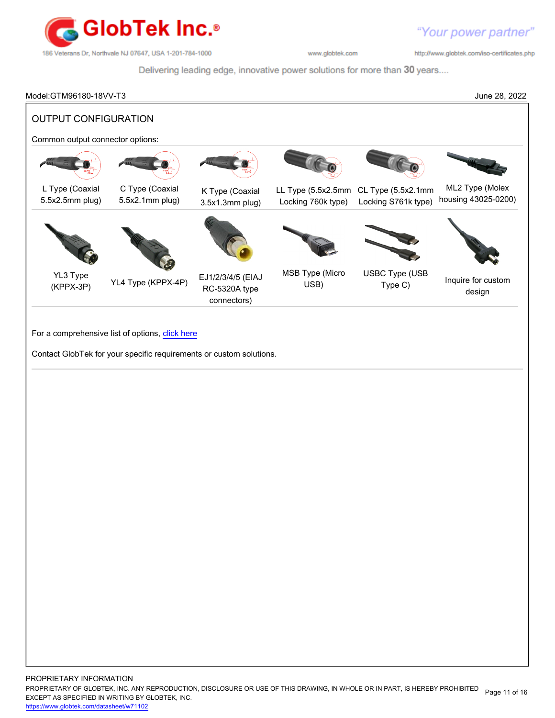

http://www.globtek.com/iso-certificates.php

Delivering leading edge, innovative power solutions for more than 30 years....

Model:GTM96180-18VV-T3 June 28, 2022 OUTPUT CONFIGURATION Common output connector options: L Type (Coaxial 5.5x2.5mm plug) C Type (Coaxial 5.5x2.1mm plug) K Type (Coaxial 3.5x1.3mm plug) LL Type (5.5x2.5mm CL Type (5.5x2.1mm Locking 760k type) Locking S761k type) ML2 Type (Molex housing 43025-0200) YL3 Type (KPPX-3P) YL4 Type (KPPX-4P) EJ1/2/3/4/5 (EIAJ RC-5320A type connectors) MSB Type (Micro USB) USBC Type (USB Type (OOD Inquire for custom design

For a comprehensive list of options, [click here](https://en.globtek.com/globtek-output-cordsets/)

Contact GlobTek for your specific requirements or custom solutions.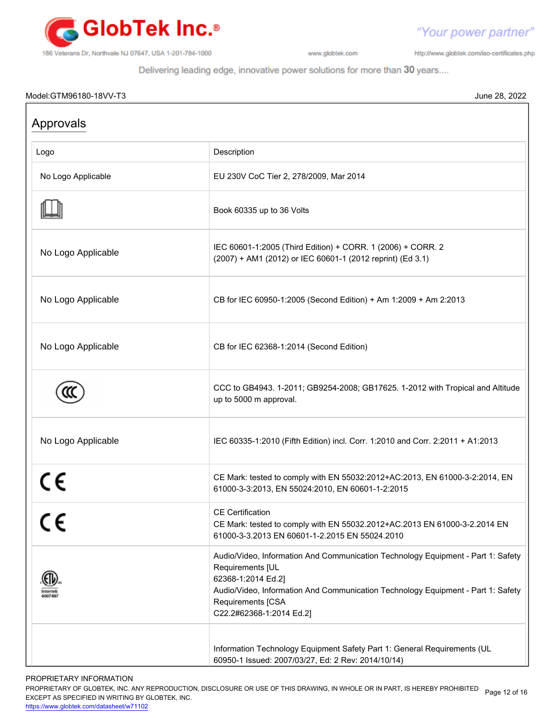

http://www.globtek.com/iso-certificates.php

"Your power partner"

Delivering leading edge, innovative power solutions for more than 30 years....

# Model:GTM96180-18VV-T3 June 28, 2022

| Approvals          |                                                                                                                                                                                                                                                                 |
|--------------------|-----------------------------------------------------------------------------------------------------------------------------------------------------------------------------------------------------------------------------------------------------------------|
| Logo               | Description                                                                                                                                                                                                                                                     |
| No Logo Applicable | EU 230V CoC Tier 2, 278/2009, Mar 2014                                                                                                                                                                                                                          |
|                    | Book 60335 up to 36 Volts                                                                                                                                                                                                                                       |
| No Logo Applicable | IEC 60601-1:2005 (Third Edition) + CORR. 1 (2006) + CORR. 2<br>(2007) + AM1 (2012) or IEC 60601-1 (2012 reprint) (Ed 3.1)                                                                                                                                       |
| No Logo Applicable | CB for IEC 60950-1:2005 (Second Edition) + Am 1:2009 + Am 2:2013                                                                                                                                                                                                |
| No Logo Applicable | CB for IEC 62368-1:2014 (Second Edition)                                                                                                                                                                                                                        |
|                    | CCC to GB4943. 1-2011; GB9254-2008; GB17625. 1-2012 with Tropical and Altitude<br>up to 5000 m approval.                                                                                                                                                        |
| No Logo Applicable | IEC 60335-1:2010 (Fifth Edition) incl. Corr. 1:2010 and Corr. 2:2011 + A1:2013                                                                                                                                                                                  |
| CE                 | CE Mark: tested to comply with EN 55032:2012+AC:2013, EN 61000-3-2:2014, EN<br>61000-3-3:2013, EN 55024:2010, EN 60601-1-2:2015                                                                                                                                 |
|                    | <b>CE Certification</b><br>CE Mark: tested to comply with EN 55032.2012+AC.2013 EN 61000-3-2.2014 EN<br>61000-3-3.2013 EN 60601-1-2.2015 EN 55024.2010                                                                                                          |
| 4007497            | Audio/Video, Information And Communication Technology Equipment - Part 1: Safety<br>Requirements [UL<br>62368-1:2014 Ed.2]<br>Audio/Video, Information And Communication Technology Equipment - Part 1: Safety<br>Requirements [CSA<br>C22.2#62368-1:2014 Ed.2] |
|                    | Information Technology Equipment Safety Part 1: General Requirements (UL<br>60950-1 Issued: 2007/03/27, Ed: 2 Rev: 2014/10/14)                                                                                                                                  |

PROPRIETARY INFORMATION

PROPRIETARY OF GLOBTEK, INC. ANY REPRODUCTION, DISCLOSURE OR USE OF THIS DRAWING, IN WHOLE OR IN PART, IS HEREBY PROHIBITED Page 12 of 16<br>EXALER 10 OREGIEIER WILKENIG BY OLOREEK WO EXCEPT AS SPECIFIED IN WRITING BY GLOBTEK, INC.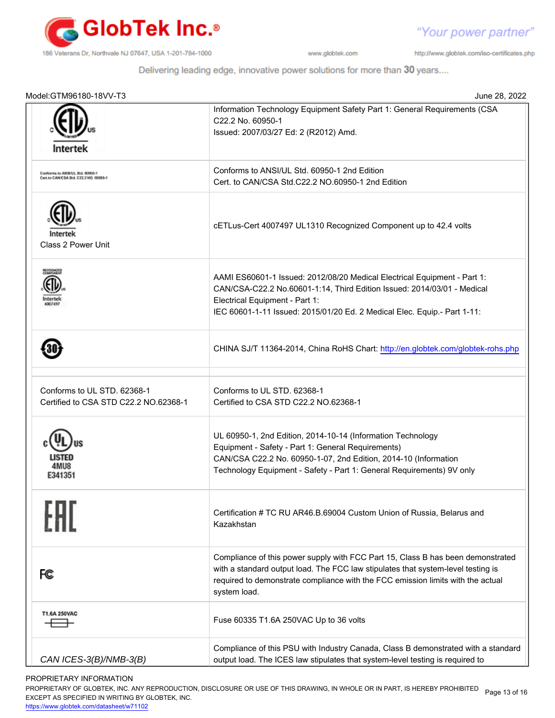

"Your power partner"

http://www.globtek.com/iso-certificates.php

Delivering leading edge, innovative power solutions for more than 30 years....

| Model:GTM96180-18VV-T3                                                     | June 28, 2022                                                                                                                                                                                                                                                          |
|----------------------------------------------------------------------------|------------------------------------------------------------------------------------------------------------------------------------------------------------------------------------------------------------------------------------------------------------------------|
| Intertek                                                                   | Information Technology Equipment Safety Part 1: General Requirements (CSA<br>C22.2 No. 60950-1<br>Issued: 2007/03/27 Ed: 2 (R2012) Amd.                                                                                                                                |
| Conforms to ANSI/UL 3td. 60950-1<br>Cert.to CAN/CSA Std. C22.2 NO. 60950-1 | Conforms to ANSI/UL Std. 60950-1 2nd Edition<br>Cert. to CAN/CSA Std.C22.2 NO.60950-1 2nd Edition                                                                                                                                                                      |
| Class 2 Power Unit                                                         | cETLus-Cert 4007497 UL1310 Recognized Component up to 42.4 volts                                                                                                                                                                                                       |
|                                                                            | AAMI ES60601-1 Issued: 2012/08/20 Medical Electrical Equipment - Part 1:<br>CAN/CSA-C22.2 No.60601-1:14, Third Edition Issued: 2014/03/01 - Medical<br>Electrical Equipment - Part 1:<br>IEC 60601-1-11 Issued: 2015/01/20 Ed. 2 Medical Elec. Equip.- Part 1-11:      |
|                                                                            | CHINA SJ/T 11364-2014, China RoHS Chart: http://en.globtek.com/globtek-rohs.php                                                                                                                                                                                        |
| Conforms to UL STD, 62368-1<br>Certified to CSA STD C22.2 NO.62368-1       | Conforms to UL STD, 62368-1<br>Certified to CSA STD C22.2 NO.62368-1                                                                                                                                                                                                   |
| E341351                                                                    | UL 60950-1, 2nd Edition, 2014-10-14 (Information Technology<br>Equipment - Safety - Part 1: General Requirements)<br>CAN/CSA C22.2 No. 60950-1-07, 2nd Edition, 2014-10 (Information<br>Technology Equipment - Safety - Part 1: General Requirements) 9V only          |
|                                                                            | Certification # TC RU AR46.B.69004 Custom Union of Russia, Belarus and<br>Kazakhstan                                                                                                                                                                                   |
| FC                                                                         | Compliance of this power supply with FCC Part 15, Class B has been demonstrated<br>with a standard output load. The FCC law stipulates that system-level testing is<br>required to demonstrate compliance with the FCC emission limits with the actual<br>system load. |
| T1.6A 250VAC                                                               | Fuse 60335 T1.6A 250VAC Up to 36 volts                                                                                                                                                                                                                                 |
| CAN ICES-3(B)/NMB-3(B)                                                     | Compliance of this PSU with Industry Canada, Class B demonstrated with a standard<br>output load. The ICES law stipulates that system-level testing is required to                                                                                                     |

PROPRIETARY INFORMATION

PROPRIETARY OF GLOBTEK, INC. ANY REPRODUCTION, DISCLOSURE OR USE OF THIS DRAWING, IN WHOLE OR IN PART, IS HEREBY PROHIBITED Page 13 of 16<br>EXALER 10 OREGIEIER WILKENIG BY OLOREEK WO EXCEPT AS SPECIFIED IN WRITING BY GLOBTEK, INC.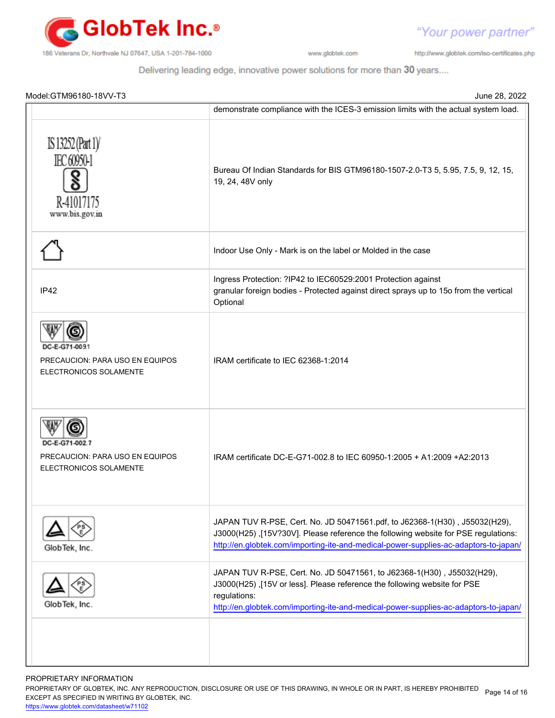

"Your power partner"

http://www.globtek.com/iso-certificates.php

Delivering leading edge, innovative power solutions for more than 30 years....

| Model:GTM96180-18VV-T3                                           | June 28, 2022                                                                                                                                                                                                                                              |
|------------------------------------------------------------------|------------------------------------------------------------------------------------------------------------------------------------------------------------------------------------------------------------------------------------------------------------|
|                                                                  | demonstrate compliance with the ICES-3 emission limits with the actual system load.                                                                                                                                                                        |
| IS 13252 (Part 1)<br>IEC 60950-1<br>R-41017175<br>www.bis.gov.in | Bureau Of Indian Standards for BIS GTM96180-1507-2.0-T3 5, 5.95, 7.5, 9, 12, 15,<br>19, 24, 48V only                                                                                                                                                       |
|                                                                  | Indoor Use Only - Mark is on the label or Molded in the case                                                                                                                                                                                               |
| IP42                                                             | Ingress Protection: ?IP42 to IEC60529:2001 Protection against<br>granular foreign bodies - Protected against direct sprays up to 15o from the vertical<br>Optional                                                                                         |
| PRECAUCION: PARA USO EN EQUIPOS<br>ELECTRONICOS SOLAMENTE        | IRAM certificate to IEC 62368-1:2014                                                                                                                                                                                                                       |
| PRECAUCION: PARA USO EN EQUIPOS<br>ELECTRONICOS SOLAMENTE        | IRAM certificate DC-E-G71-002.8 to IEC 60950-1:2005 + A1:2009 + A2:2013                                                                                                                                                                                    |
| GlobTek, Inc.                                                    | JAPAN TUV R-PSE, Cert. No. JD 50471561.pdf, to J62368-1(H30), J55032(H29),<br>J3000(H25),[15V?30V]. Please reference the following website for PSE regulations:<br>http://en.globtek.com/importing-ite-and-medical-power-supplies-ac-adaptors-to-japan/    |
| GlobTek, Inc.                                                    | JAPAN TUV R-PSE, Cert. No. JD 50471561, to J62368-1(H30), J55032(H29),<br>J3000(H25),[15V or less]. Please reference the following website for PSE<br>regulations:<br>http://en.globtek.com/importing-ite-and-medical-power-supplies-ac-adaptors-to-japan/ |
|                                                                  |                                                                                                                                                                                                                                                            |

PROPRIETARY INFORMATION

PROPRIETARY OF GLOBTEK, INC. ANY REPRODUCTION, DISCLOSURE OR USE OF THIS DRAWING, IN WHOLE OR IN PART, IS HEREBY PROHIBITED Page 14 of 16<br>EXALER 10 OREGIEIER WILKENIG BY OLOREEK WO EXCEPT AS SPECIFIED IN WRITING BY GLOBTEK, INC.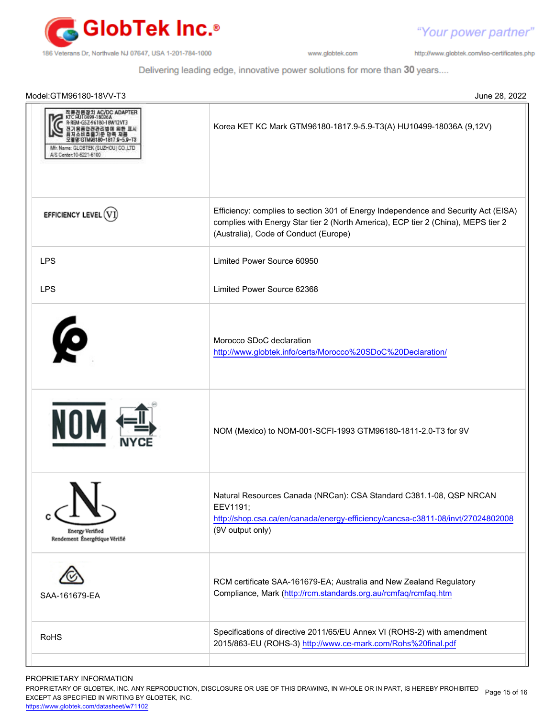

"Your power partner"

http://www.globtek.com/iso-certificates.php

Delivering leading edge, innovative power solutions for more than 30 years....

| Model:GTM96180-18VV-T3                                                          | June 28, 2022                                                                                                                                                                                                    |
|---------------------------------------------------------------------------------|------------------------------------------------------------------------------------------------------------------------------------------------------------------------------------------------------------------|
| :/DC ADAPTER<br>Mfr. Name: GLOBTEK (SUZHOU) CO.,LTD<br>A/S Center: 10-6221-6100 | Korea KET KC Mark GTM96180-1817.9-5.9-T3(A) HU10499-18036A (9,12V)                                                                                                                                               |
| EFFICIENCY LEVEL (V)                                                            | Efficiency: complies to section 301 of Energy Independence and Security Act (EISA)<br>complies with Energy Star tier 2 (North America), ECP tier 2 (China), MEPS tier 2<br>(Australia), Code of Conduct (Europe) |
| <b>LPS</b>                                                                      | Limited Power Source 60950                                                                                                                                                                                       |
| <b>LPS</b>                                                                      | Limited Power Source 62368                                                                                                                                                                                       |
| $\boldsymbol{\varphi}$                                                          | Morocco SDoC declaration<br>http://www.globtek.info/certs/Morocco%20SDoC%20Declaration/                                                                                                                          |
|                                                                                 | NOM (Mexico) to NOM-001-SCFI-1993 GTM96180-1811-2.0-T3 for 9V                                                                                                                                                    |
| <b>Energy Verified</b><br>Rendement Énergétique Vérifié                         | Natural Resources Canada (NRCan): CSA Standard C381.1-08, QSP NRCAN<br>EEV1191;<br>http://shop.csa.ca/en/canada/energy-efficiency/cancsa-c3811-08/invt/27024802008<br>(9V output only)                           |
| SAA-161679-EA                                                                   | RCM certificate SAA-161679-EA; Australia and New Zealand Regulatory<br>Compliance, Mark (http://rcm.standards.org.au/rcmfaq/rcmfaq.htm                                                                           |
| <b>RoHS</b>                                                                     | Specifications of directive 2011/65/EU Annex VI (ROHS-2) with amendment<br>2015/863-EU (ROHS-3) http://www.ce-mark.com/Rohs%20final.pdf                                                                          |

PROPRIETARY INFORMATION

PROPRIETARY OF GLOBTEK, INC. ANY REPRODUCTION, DISCLOSURE OR USE OF THIS DRAWING, IN WHOLE OR IN PART, IS HEREBY PROHIBITED Page 15 of 16<br>EXALER 10 OREGIEIER WILKENIG BY OLOREEK WO EXCEPT AS SPECIFIED IN WRITING BY GLOBTEK, INC.